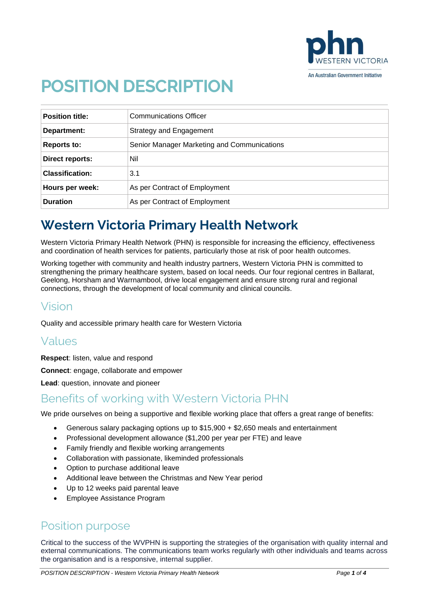

# **POSITION DESCRIPTION**

| <b>Position title:</b> | <b>Communications Officer</b>               |
|------------------------|---------------------------------------------|
| Department:            | Strategy and Engagement                     |
| <b>Reports to:</b>     | Senior Manager Marketing and Communications |
| Direct reports:        | Nil                                         |
| <b>Classification:</b> | 3.1                                         |
| Hours per week:        | As per Contract of Employment               |
| <b>Duration</b>        | As per Contract of Employment               |

# **Western Victoria Primary Health Network**

Western Victoria Primary Health Network (PHN) is responsible for increasing the efficiency, effectiveness and coordination of health services for patients, particularly those at risk of poor health outcomes.

Working together with community and health industry partners, Western Victoria PHN is committed to strengthening the primary healthcare system, based on local needs. Our four regional centres in Ballarat, Geelong, Horsham and Warrnambool, drive local engagement and ensure strong rural and regional connections, through the development of local community and clinical councils.

### Vision

Quality and accessible primary health care for Western Victoria

# Values

**Respect**: listen, value and respond

**Connect**: engage, collaborate and empower

**Lead**: question, innovate and pioneer

### Benefits of working with Western Victoria PHN

We pride ourselves on being a supportive and flexible working place that offers a great range of benefits:

- Generous salary packaging options up to \$15,900 + \$2,650 meals and entertainment
- Professional development allowance (\$1,200 per year per FTE) and leave
- Family friendly and flexible working arrangements
- Collaboration with passionate, likeminded professionals
- Option to purchase additional leave
- Additional leave between the Christmas and New Year period
- Up to 12 weeks paid parental leave
- Employee Assistance Program

### Position purpose

Critical to the success of the WVPHN is supporting the strategies of the organisation with quality internal and external communications. The communications team works regularly with other individuals and teams across the organisation and is a responsive, internal supplier.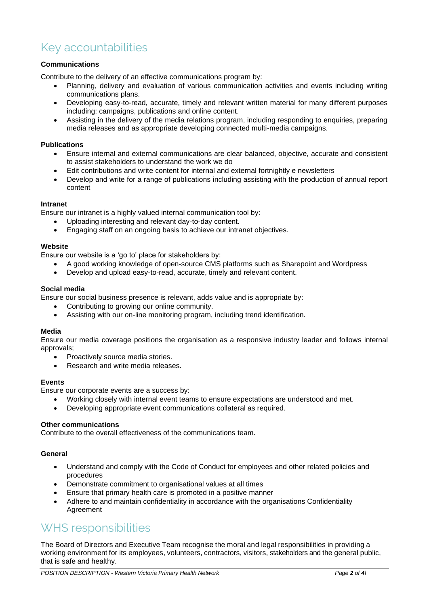# Key accountabilities

#### **Communications**

Contribute to the delivery of an effective communications program by:

- Planning, delivery and evaluation of various communication activities and events including writing communications plans.
- Developing easy-to-read, accurate, timely and relevant written material for many different purposes including: campaigns, publications and online content.
- Assisting in the delivery of the media relations program, including responding to enquiries, preparing media releases and as appropriate developing connected multi-media campaigns.

#### **Publications**

- Ensure internal and external communications are clear balanced, objective, accurate and consistent to assist stakeholders to understand the work we do
- Edit contributions and write content for internal and external fortnightly e newsletters
- Develop and write for a range of publications including assisting with the production of annual report content

#### **Intranet**

Ensure our intranet is a highly valued internal communication tool by:

- Uploading interesting and relevant day-to-day content.
- Engaging staff on an ongoing basis to achieve our intranet objectives.

#### **Website**

Ensure our website is a 'go to' place for stakeholders by:

- A good working knowledge of open-source CMS platforms such as Sharepoint and Wordpress
- Develop and upload easy-to-read, accurate, timely and relevant content.

#### **Social media**

Ensure our social business presence is relevant, adds value and is appropriate by:

- Contributing to growing our online community.
- Assisting with our on-line monitoring program, including trend identification.

#### **Media**

Ensure our media coverage positions the organisation as a responsive industry leader and follows internal approvals;

- Proactively source media stories.
- Research and write media releases.

#### **Events**

Ensure our corporate events are a success by:

- Working closely with internal event teams to ensure expectations are understood and met.
- Developing appropriate event communications collateral as required.

#### **Other communications**

Contribute to the overall effectiveness of the communications team.

#### **General**

- Understand and comply with the Code of Conduct for employees and other related policies and procedures
- Demonstrate commitment to organisational values at all times
- Ensure that primary health care is promoted in a positive manner
- Adhere to and maintain confidentiality in accordance with the organisations Confidentiality Agreement

### WHS responsibilities

The Board of Directors and Executive Team recognise the moral and legal responsibilities in providing a working environment for its employees, volunteers, contractors, visitors, stakeholders and the general public, that is safe and healthy.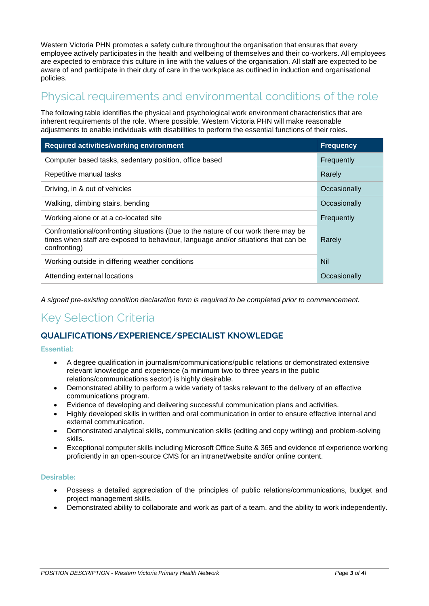Western Victoria PHN promotes a safety culture throughout the organisation that ensures that every employee actively participates in the health and wellbeing of themselves and their co-workers. All employees are expected to embrace this culture in line with the values of the organisation. All staff are expected to be aware of and participate in their duty of care in the workplace as outlined in induction and organisational policies.

## Physical requirements and environmental conditions of the role

The following table identifies the physical and psychological work environment characteristics that are inherent requirements of the role. Where possible, Western Victoria PHN will make reasonable adjustments to enable individuals with disabilities to perform the essential functions of their roles.

| <b>Required activities/working environment</b>                                                                                                                                          | <b>Frequency</b> |
|-----------------------------------------------------------------------------------------------------------------------------------------------------------------------------------------|------------------|
| Computer based tasks, sedentary position, office based                                                                                                                                  | Frequently       |
| Repetitive manual tasks                                                                                                                                                                 | Rarely           |
| Driving, in & out of vehicles                                                                                                                                                           | Occasionally     |
| Walking, climbing stairs, bending                                                                                                                                                       | Occasionally     |
| Working alone or at a co-located site                                                                                                                                                   | Frequently       |
| Confrontational/confronting situations (Due to the nature of our work there may be<br>times when staff are exposed to behaviour, language and/or situations that can be<br>confronting) | Rarely           |
| Working outside in differing weather conditions                                                                                                                                         | Nil              |
| Attending external locations                                                                                                                                                            | Occasionally     |

*A signed pre-existing condition declaration form is required to be completed prior to commencement.*

# Key Selection Criteria

#### **QUALIFICATIONS/EXPERIENCE/SPECIALIST KNOWLEDGE**

#### **Essential:**

- A degree qualification in journalism/communications/public relations or demonstrated extensive relevant knowledge and experience (a minimum two to three years in the public relations/communications sector) is highly desirable.
- Demonstrated ability to perform a wide variety of tasks relevant to the delivery of an effective communications program.
- Evidence of developing and delivering successful communication plans and activities.
- Highly developed skills in written and oral communication in order to ensure effective internal and external communication.
- Demonstrated analytical skills, communication skills (editing and copy writing) and problem-solving skills.
- Exceptional computer skills including Microsoft Office Suite & 365 and evidence of experience working proficiently in an open-source CMS for an intranet/website and/or online content.

#### **Desirable:**

- Possess a detailed appreciation of the principles of public relations/communications, budget and project management skills.
- Demonstrated ability to collaborate and work as part of a team, and the ability to work independently.